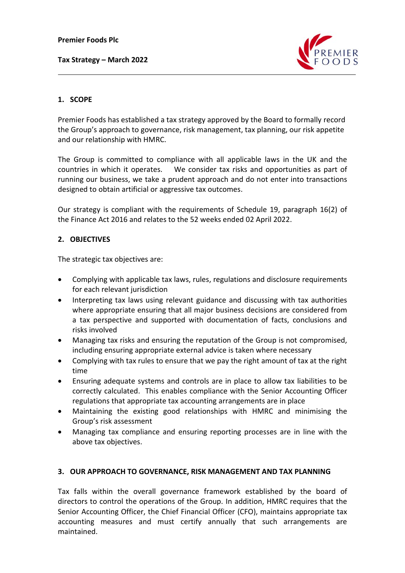**Tax Strategy – March 2022**



# **1. SCOPE**

Premier Foods has established a tax strategy approved by the Board to formally record the Group's approach to governance, risk management, tax planning, our risk appetite and our relationship with HMRC.

The Group is committed to compliance with all applicable laws in the UK and the countries in which it operates. We consider tax risks and opportunities as part of running our business, we take a prudent approach and do not enter into transactions designed to obtain artificial or aggressive tax outcomes.

Our strategy is compliant with the requirements of Schedule 19, paragraph 16(2) of the Finance Act 2016 and relates to the 52 weeks ended 02 April 2022.

## **2. OBJECTIVES**

The strategic tax objectives are:

- Complying with applicable tax laws, rules, regulations and disclosure requirements for each relevant jurisdiction
- Interpreting tax laws using relevant guidance and discussing with tax authorities where appropriate ensuring that all major business decisions are considered from a tax perspective and supported with documentation of facts, conclusions and risks involved
- Managing tax risks and ensuring the reputation of the Group is not compromised, including ensuring appropriate external advice is taken where necessary
- Complying with tax rules to ensure that we pay the right amount of tax at the right time
- Ensuring adequate systems and controls are in place to allow tax liabilities to be correctly calculated. This enables compliance with the Senior Accounting Officer regulations that appropriate tax accounting arrangements are in place
- Maintaining the existing good relationships with HMRC and minimising the Group's risk assessment
- Managing tax compliance and ensuring reporting processes are in line with the above tax objectives.

## **3. OUR APPROACH TO GOVERNANCE, RISK MANAGEMENT AND TAX PLANNING**

Tax falls within the overall governance framework established by the board of directors to control the operations of the Group. In addition, HMRC requires that the Senior Accounting Officer, the Chief Financial Officer (CFO), maintains appropriate tax accounting measures and must certify annually that such arrangements are maintained.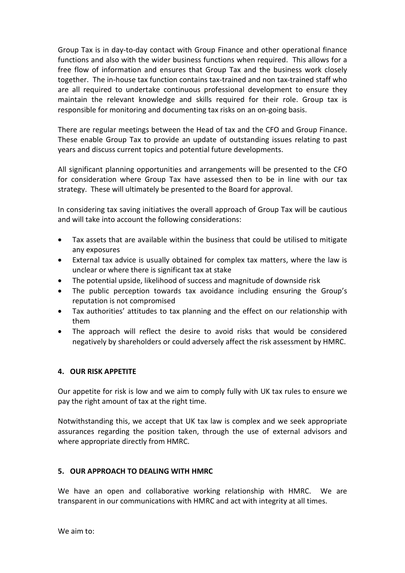Group Tax is in day-to-day contact with Group Finance and other operational finance functions and also with the wider business functions when required. This allows for a free flow of information and ensures that Group Tax and the business work closely together. The in-house tax function contains tax-trained and non tax-trained staff who are all required to undertake continuous professional development to ensure they maintain the relevant knowledge and skills required for their role. Group tax is responsible for monitoring and documenting tax risks on an on-going basis.

There are regular meetings between the Head of tax and the CFO and Group Finance. These enable Group Tax to provide an update of outstanding issues relating to past years and discuss current topics and potential future developments.

All significant planning opportunities and arrangements will be presented to the CFO for consideration where Group Tax have assessed then to be in line with our tax strategy. These will ultimately be presented to the Board for approval.

In considering tax saving initiatives the overall approach of Group Tax will be cautious and will take into account the following considerations:

- Tax assets that are available within the business that could be utilised to mitigate any exposures
- External tax advice is usually obtained for complex tax matters, where the law is unclear or where there is significant tax at stake
- The potential upside, likelihood of success and magnitude of downside risk
- The public perception towards tax avoidance including ensuring the Group's reputation is not compromised
- Tax authorities' attitudes to tax planning and the effect on our relationship with them
- The approach will reflect the desire to avoid risks that would be considered negatively by shareholders or could adversely affect the risk assessment by HMRC.

## **4. OUR RISK APPETITE**

Our appetite for risk is low and we aim to comply fully with UK tax rules to ensure we pay the right amount of tax at the right time.

Notwithstanding this, we accept that UK tax law is complex and we seek appropriate assurances regarding the position taken, through the use of external advisors and where appropriate directly from HMRC.

## **5. OUR APPROACH TO DEALING WITH HMRC**

We have an open and collaborative working relationship with HMRC. We are transparent in our communications with HMRC and act with integrity at all times.